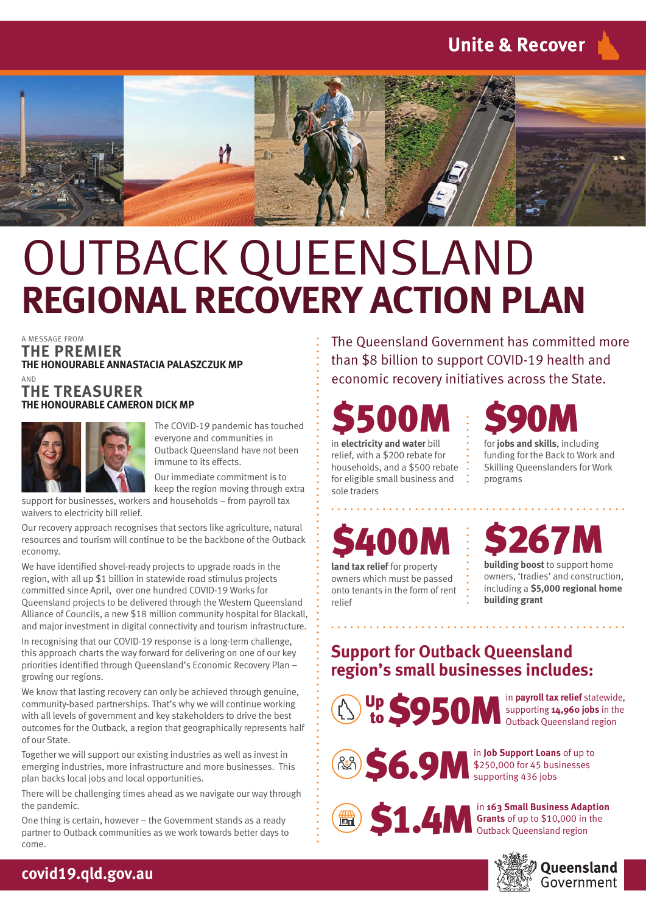

## OUTBACK QUEENSLAND **REGIONAL RECOVERY ACTION PLAN**

A MESSAGE FROM

**THE PREMIER THE HONOURABLE ANNASTACIA PALASZCZUK MP** AND

#### **THE TREASURER THE HONOURABLE CAMERON DICK MP**



The COVID-19 pandemic has touched everyone and communities in Outback Queensland have not been immune to its effects.

Our immediate commitment is to keep the region moving through extra

support for businesses, workers and households – from payroll tax waivers to electricity bill relief.

Our recovery approach recognises that sectors like agriculture, natural resources and tourism will continue to be the backbone of the Outback economy.

We have identified shovel-ready projects to upgrade roads in the region, with all up \$1 billion in statewide road stimulus projects committed since April, over one hundred COVID-19 Works for Queensland projects to be delivered through the Western Queensland Alliance of Councils, a new \$18 million community hospital for Blackall, and major investment in digital connectivity and tourism infrastructure.

In recognising that our COVID-19 response is a long-term challenge, this approach charts the way forward for delivering on one of our key priorities identified through Queensland's Economic Recovery Plan – growing our regions.

We know that lasting recovery can only be achieved through genuine, community-based partnerships. That's why we will continue working with all levels of government and key stakeholders to drive the best outcomes for the Outback, a region that geographically represents half of our State.

Together we will support our existing industries as well as invest in emerging industries, more infrastructure and more businesses. This plan backs local jobs and local opportunities.

There will be challenging times ahead as we navigate our way through the pandemic.

One thing is certain, however – the Government stands as a ready partner to Outback communities as we work towards better days to come.

The Queensland Government has committed more than \$8 billion to support COVID-19 health and economic recovery initiatives across the State.

# \$500M in **electricity and water** bill

relief, with a \$200 rebate for households, and a \$500 rebate for eligible small business and sole traders



funding for the Back to Work and Skilling Queenslanders for Work programs



**land tax relief** for property owners which must be passed onto tenants in the form of rent relief



**building boost** to support home owners, 'tradies' and construction, including a **\$5,000 regional home building grant**

#### **Support for Outback Queensland region's small businesses includes:**

Up S950M in payroll tax relief statewide,<br>to 950M outback Queensland region

supporting **14,960 jobs** in the



\$250,000 for 45 businesses supporting 436 jobs



**51.4M**  $\int_{\text{Outback Queuesland region}}^{\text{in 163 Small Business Adaption}}$ **Grants** of up to \$10,000 in the Outback Queensland region

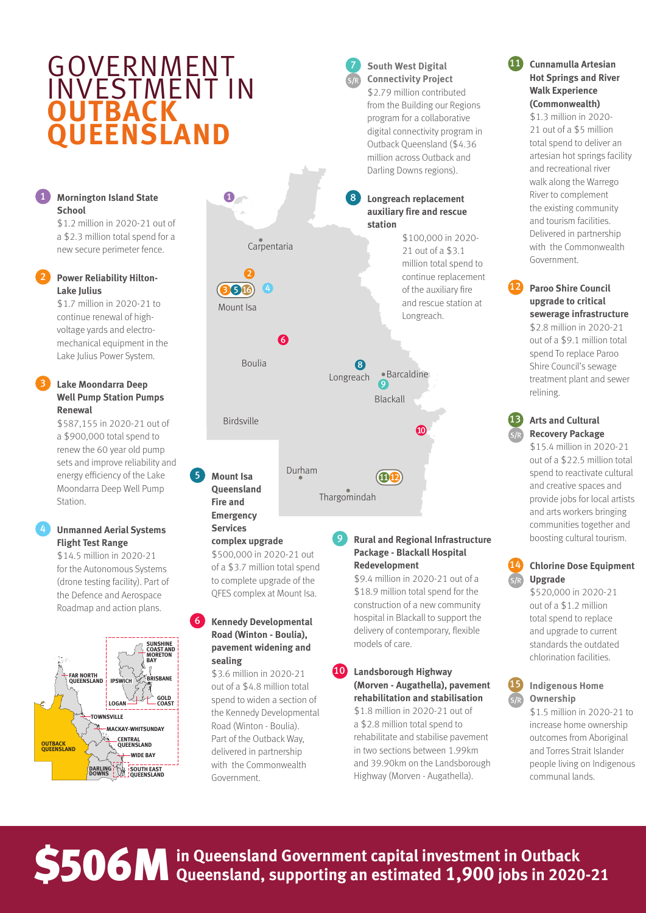### **GOVERNMENT** INVESTMENT IN **OUTBACK QUEENSLAND**

#### 1 **Mornington Island State**  1 **Mornington Island State School School**

\$1.2 million in 2020-21 out of \$1.2 million in 2020-21 out of a \$2.3 million total spend for a a \$2.3 million total spend for a new secure perimeter fence. new secure perimeter fence.

#### 2 **Power Reliability Hilton-**2 **Power Reliability Hilton-Lake Julius Lake Julius**

\$1.7 million in 2020-21 to \$1.7 million in 2020-21 to continue renewal of high-continue renewal of highvoltage yards and electro-voltage yards and electromechanical equipment in the mechanical equipment in the Lake Julius Power System. Lake Julius Power System.

#### 3 **Lake Moondarra Deep**  3 **Lake Moondarra Deep Well Pump Station Pumps Well Pump Station Pumps Renewal Renewal**

\$587,155 in 2020-21 out of \$587,155 in 2020-21 out of a \$900,000 total spend to a \$900,000 total spend to renew the 60 year old pump renew the 60 year old pump sets and improve reliability and sets and improve reliability and energy efficiency of the Lake Moondarra Deep Well Pump Moondarra Deep Well Pump Station. Station.

#### 4 **Unmanned Aerial Systems**  4 **Unmanned Aerial Systems Flight Test Range Flight Test Range**

\$14.5 million in 2020-21 \$14.5 million in 2020-21 for the Autonomous Systems for the Autonomous Systems (drone testing facility). Part of (drone testing facility). Part of the Defence and Aerospace the Defence and Aerospace Roadmap and action plans. Roadmap and action plans.





\$500,000 in 2020-21 out \$500,000 in 2020-21 out of a \$3.7 million total spend of a \$3.7 million total spend to complete upgrade of the to complete upgrade of the QFES complex at Mount Isa. QFES complex at Mount Isa.

6 **Kennedy Developmental**  6 **Kennedy Developmental Road (Winton - Boulia), Road (Winton - Boulia), pavement widening and pavement widening and** 

> \$3.6 million in 2020-21 \$3.6 million in 2020-21 out of a \$4.8 million total out of a \$4.8 million total spend to widen a section of spend to widen a section of the Kennedy Developmental the Kennedy Developmental Road (Winton - Boulia). Road (Winton - Boulia). Part of the Outback Way, Part of the Outback Way, delivered in partnership delivered in partnership with the Commonwealth with the Commonwealth

**sealing sealing**

Government. Government.

#### 9 **Rural and Regional Infrastructure**  9 **Rural and Regional Infrastructure Package - Blackall Hospital Package - Blackall Hospital Redevelopment Redevelopment**

7 **South West Digital**  7 **South West Digital Connectivity Project Connectivity Project** \$2.79 million contributed \$2.79 million contributed from the Building our Regions from the Building our Regions program for a collaborative program for a collaborative digital connectivity program in digital connectivity program in Outback Queensland (\$4.36 Outback Queensland (\$4.36 million across Outback and million across Outback and

\$9.4 million in 2020-21 out of a \$9.4 million in 2020-21 out of a \$18.9 million total spend for the \$18.9 million total spend for the construction of a new community construction of a new community hospital in Blackall to support the hospital in Blackall to support the delivery of contemporary, flexible delivery of contemporary, flexible models of care. models of care.

#### <sup>10</sup> **Landsborough Highway**  <sup>10</sup> **Landsborough Highway (Morven - Augathella), pavement (Morven - Augathella), pavement rehabilitation and stabilisation rehabilitation and stabilisation**

\$1.8 million in 2020-21 out of \$1.8 million in 2020-21 out of a \$2.8 million total spend to a \$2.8 million total spend to rehabilitate and stabilise pavement rehabilitate and stabilise pavement in two sections between 1.99km in two sections between 1.99km and 39.90km on the Landsborough and 39.90km on the Landsborough Highway (Morven - Augathella). Highway (Morven - Augathella).

#### <sup>11</sup> **Cunnamulla Artesian**  <sup>11</sup> **Cunnamulla Artesian Hot Springs and River Hot Springs and River Walk Experience Walk Experience (Commonwealth) (Commonwealth)**

\$1.3 million in 2020- \$1.3 million in 2020- 21 out of a \$5 million 21 out of a \$5 million total spend to deliver an total spend to deliver an artesian hot springs facility artesian hot springs facility and recreational river and recreational river walk along the Warrego walk along the Warrego River to complement River to complement the existing community the existing community and tourism facilities. and tourism facilities. Delivered in partnership Delivered in partnership with the Commonwealth with the Commonwealth Government. Government.

<sup>12</sup> **Paroo Shire Council**  <sup>12</sup> **Paroo Shire Council upgrade to critical upgrade to critical sewerage infrastructure sewerage infrastructure** \$2.8 million in 2020-21 \$2.8 million in 2020-21 out of a \$9.1 million total out of a \$9.1 million total spend To replace Paroo spend To replace Paroo Shire Council's sewage Shire Council's sewage treatment plant and sewer treatment plant and sewer

#### <sup>13</sup> **Arts and Cultural**  <sup>13</sup> **Arts and Cultural Recovery Package Recovery Package**

relining. relining.

\$15.4 million in 2020-21 \$15.4 million in 2020-21 out of a \$22.5 million total out of a \$22.5 million total spend to reactivate cultural spend to reactivate cultural and creative spaces and and creative spaces and provide jobs for local artists provide jobs for local artists and arts workers bringing and arts workers bringing communities together and communities together and boosting cultural tourism. boosting cultural tourism.

#### <sup>14</sup> **Chlorine Dose Equipment**  <sup>14</sup> **Chlorine Dose Equipment Upgrade Upgrade**

\$520,000 in 2020-21 \$520,000 in 2020-21 out of a \$1.2 million out of a \$1.2 million total spend to replace total spend to replace and upgrade to current and upgrade to current standards the outdated standards the outdated chlorination facilities. chlorination facilities.

#### <sup>15</sup> **Indigenous Home**  <sup>15</sup> **Indigenous Home Ownership Ownership**

\$1.5 million in 2020-21 to \$1.5 million in 2020-21 to increase home ownership increase home ownership outcomes from Aboriginal outcomes from Aboriginal and Torres Strait Islander and Torres Strait Islander people living on Indigenous people living on Indigenous communal lands. communal lands.

### **S506M** in Queensland Government capital investment in Outback **S506M** in Queensland Government capital investment in Outback<br> **S506M** Queensland, supporting an estimated 1,900 jobs in 2020-21 **in Queensland Government capital investment in Outback**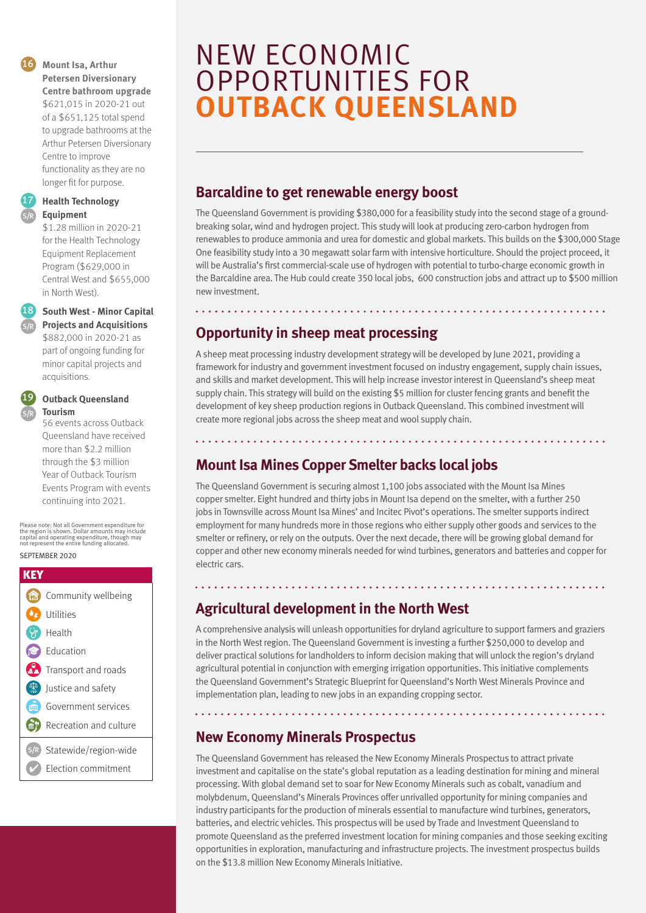#### <sup>16</sup> **Mount Isa, Arthur**  <sup>16</sup> **Mount Isa, Arthur Petersen Diversionary Petersen Diversionary Centre bathroom upgrade Centre bathroom upgrade**

\$621,015 in 2020-21 out \$621,015 in 2020-21 out of a \$651,125 total spend of a \$651,125 total spend to upgrade bathrooms at the to upgrade bathrooms at the Arthur Petersen Diversionary Arthur Petersen Diversionary Centre to improve Centre to improve functionality as they are no functionality as they are no longer fit for purpose.

<sup>17</sup> **Health Technology**  <sup>17</sup> **Health Technology Equipment Equipment**

> \$1.28 million in 2020-21 \$1.28 million in 2020-21 for the Health Technology for the Health Technology Equipment Replacement Equipment Replacement Program (\$629,000 in Program (\$629,000 in Central West and \$655,000 Central West and \$655,000 in North West). in North West).

#### <sup>18</sup> **South West - Minor Capital**  <sup>18</sup> **South West - Minor Capital**

**Projects and Acquisitions Projects and Acquisitions** \$882,000 in 2020-21 as \$882,000 in 2020-21 as part of ongoing funding for part of ongoing funding for minor capital projects and minor capital projects and acquisitions. acquisitions.

#### <sup>19</sup> **Outback Queensland**  <sup>19</sup> **Outback Queensland**

**Tourism Tourism** 56 events across Outback 56 events across Outback Queensland have received Queensland have received more than \$2.2 million more than \$2.2 million through the \$3 million through the \$3 million Year of Outback Tourism Year of Outback Tourism Events Program with events Events Program with events continuing into 2021. continuing into 2021.

Please note: Not all Government expenditure for the region is shown. Dollar amounts may include Please note: Not all Government expenditure for the region is shown. Dollar amounts may include capital and operating expenditure, though may not represent the entire funding allocated. capital and operating expenditure, though may not represent the entire funding allocated.

#### SEPTEMBER 2020 SEPTEMBER 2020

| KEY       |                             |
|-----------|-----------------------------|
| m.        | Community wellbeing         |
|           | <b>O</b> Utilities          |
| <b>SP</b> | Health                      |
|           | Education                   |
|           | Transport and roads         |
|           | Justice and safety          |
| m         | Government services         |
|           | Recreation and culture      |
|           | (S/R) Statewide/region-wide |
|           | Election commitment         |

### **OUTBACK QUEENSLAND** OPPORTUNITIES FOR NEW ECONOMIC

UNEARTHING NEW MINING

### **Barcaldine to get renewable energy boost**

renewables to produce ammonia and urea for domestic and global markets. This builds on the \$300,000 Stage One feasibility study into a 30 megawatt solar farm with intensive horticulture. Should the project proceed, it will be Australia's first commercial-scale use of hydrogen with potential to turbo-charge economic growth in the Barcaldine area. The Hub could create 350 local jobs, 600 construction jobs and attract up to \$500 million<br>products, which include computers, smartphones as well as well as  $\mathbb{R}^n$  as  $\mathbb{R}^n$  as  $\mathbb{R}^n$  as  $\mathbb{R}^n$  as  $\mathbb{R}^n$  as  $\mathbb{R}^n$  as  $\mathbb{R}^n$  as  $\mathbb{R}^n$  as  $\mathbb{R}^n$  as  $\mathbb{R}^n$  as  $\mathbb{R}^n$  as The Queensland Government is providing \$380,000 for a feasibility study into the second stage of a groundbreaking solar, wind and hydrogen project. This study will look at producing zero-carbon hydrogen from new investment.

#### To help industry fi nd these materials, the Queensland Government has committed **Opportunity in sheep meat processing**

A sheep meat processing industry development strategy will be developed by June 2021, providing a framework for industry and government investment focused on industry engagement, supply chain issues, and skills and market development. This will help increase investor interest in Queensland's sheep meat The grants are designed to help future-proof Queensland's economy by supporting development of key sheep production regions in Outback Queensland. This combined investment will nent of noy on opposition regions in outstand groom and into complication that create more regional jobs across the sheep meat and wool supply chain. supply chain. This strategy will build on the existing \$5 million for cluster fencing grants and benefit the

Steve Harper of Red River Resources said the funding would fast-track the company's

medical, defence and scientifi c research sectors. The scientific research sectors is research sectors.

#### exploration of a historical base metals mine near Herberton. **Mount Isa Mines Copper Smelter backs local jobs** which we

The Queensland Government is securing almost 1,100 jobs associated with the Mount Isa Mines copper smelter. Eight hundred and thirty jobs in Mount Isa depend on the smelter, with a further 250 jobs in Townsville across Mount Isa Mines' and Incitec Pivot's operations. The smelter supports indirect smelter or refinery, or rely on the outputs. Over the next decade, there will be growing global demand for copper and other new economy minerals needed for wind turbines, generators and batteries and copper for employment for many hundreds more in those regions who either supply other goods and services to the electric cars.

. . . . . . . . . . . . . . . . . . . .

#### **Agricultural development in the North West**

A comprehensive analysis will unleash opportunities for dryland agriculture to support farmers and graziers in the North West region. The Queensland Government is investing a further \$250,000 to develop and deliver practical solutions for landholders to inform decision making that will unlock the region's dryland agricultural potential in conjunction with emerging irrigation opportunities. This initiative complements the Queensland Government's Strategic Blueprint for Queensland's North West Minerals Province and implementation plan, leading to new jobs in an expanding cropping sector.

#### **New Economy Minerals Prospectus**

The Queensland Government has released the New Economy Minerals Prospectus to attract private investment and capitalise on the state's global reputation as a leading destination for mining and mineral processing. With global demand set to soar for New Economy Minerals such as cobalt, vanadium and molybdenum, Queensland's Minerals Provinces offer unrivalled opportunity for mining companies and industry participants for the production of minerals essential to manufacture wind turbines, generators, batteries, and electric vehicles. This prospectus will be used by Trade and Investment Queensland to promote Queensland as the preferred investment location for mining companies and those seeking exciting opportunities in exploration, manufacturing and infrastructure projects. The investment prospectus builds on the \$13.8 million New Economy Minerals Initiative.